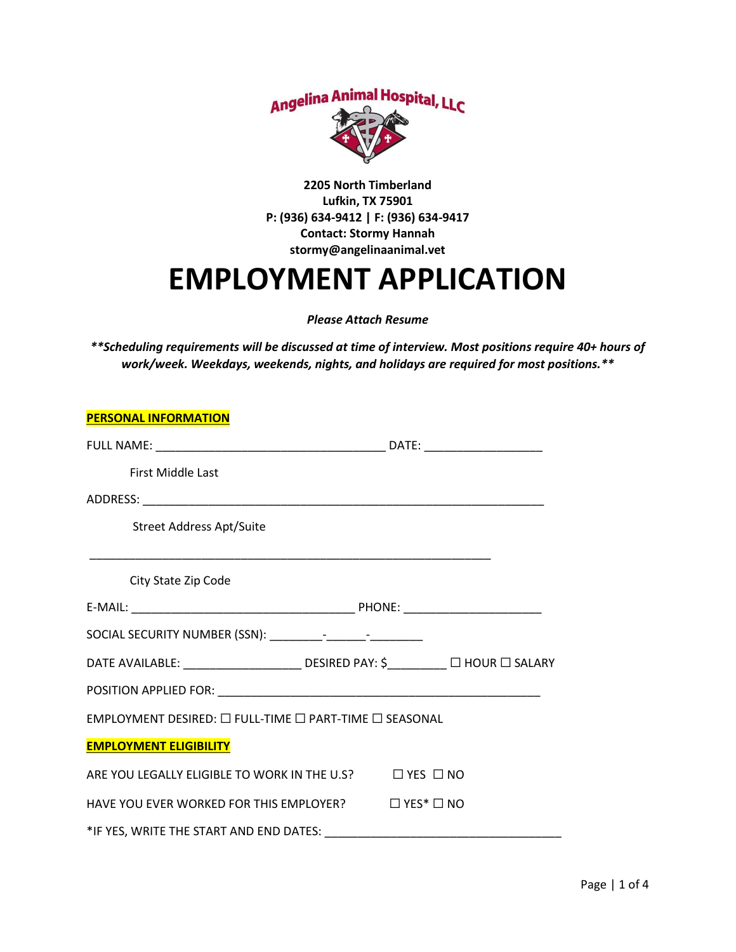

**2205 North Timberland Lufkin, TX 75901 P: (936) 634-9412 | F: (936) 634-9417 Contact: Stormy Hannah stormy@angelinaanimal.vet**

## **EMPLOYMENT APPLICATION**

*Please Attach Resume*

*\*\*Scheduling requirements will be discussed at time of interview. Most positions require 40+ hours of work/week. Weekdays, weekends, nights, and holidays are required for most positions.\*\**

| <b>PERSONAL INFORMATION</b>                                                    |                                                                                   |
|--------------------------------------------------------------------------------|-----------------------------------------------------------------------------------|
|                                                                                |                                                                                   |
| <b>First Middle Last</b>                                                       |                                                                                   |
|                                                                                |                                                                                   |
| Street Address Apt/Suite                                                       |                                                                                   |
|                                                                                |                                                                                   |
| City State Zip Code                                                            |                                                                                   |
|                                                                                |                                                                                   |
|                                                                                |                                                                                   |
|                                                                                | DATE AVAILABLE: _______________________ DESIRED PAY: \$__________ □ HOUR □ SALARY |
|                                                                                |                                                                                   |
| EMPLOYMENT DESIRED: $\square$ FULL-TIME $\square$ PART-TIME $\square$ SEASONAL |                                                                                   |
| <b>EMPLOYMENT ELIGIBILITY</b>                                                  |                                                                                   |
| ARE YOU LEGALLY ELIGIBLE TO WORK IN THE U.S? <sub>NO</sub>                     |                                                                                   |
| HAVE YOU EVER WORKED FOR THIS EMPLOYER? $\Box$ YES* $\Box$ NO                  |                                                                                   |
|                                                                                |                                                                                   |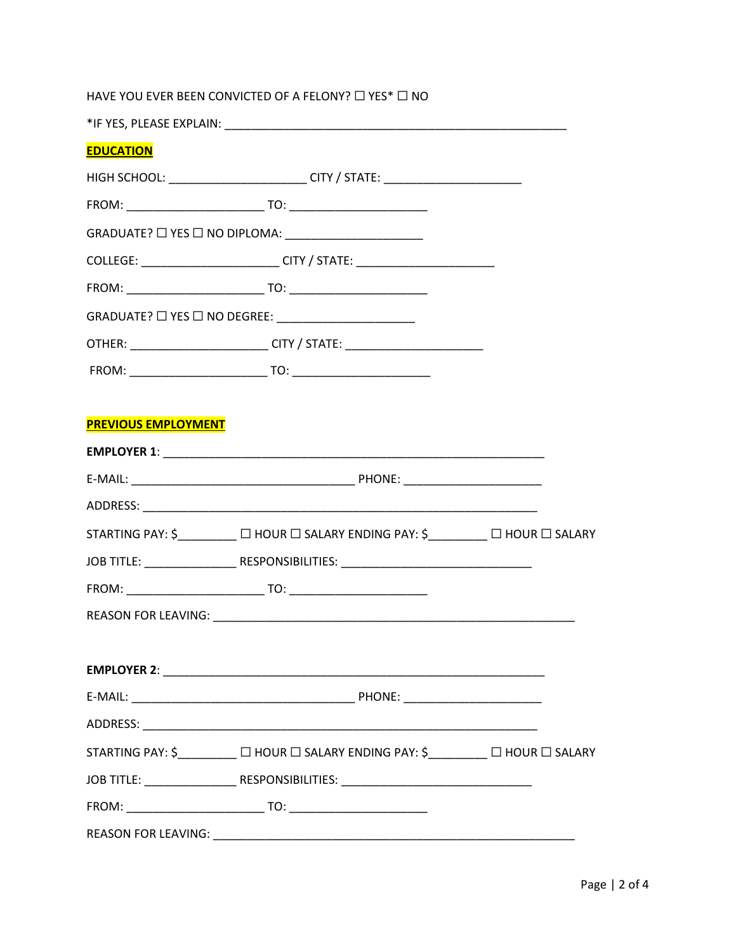|                            | HAVE YOU EVER BEEN CONVICTED OF A FELONY? □ YES* □ NO                            |  |
|----------------------------|----------------------------------------------------------------------------------|--|
|                            |                                                                                  |  |
| <b>EDUCATION</b>           |                                                                                  |  |
|                            | HIGH SCHOOL: ___________________________CITY / STATE: __________________________ |  |
|                            |                                                                                  |  |
|                            |                                                                                  |  |
|                            | COLLEGE: _____________________________CITY / STATE: ____________________________ |  |
|                            |                                                                                  |  |
|                            |                                                                                  |  |
|                            | OTHER: ___________________________CITY / STATE: ________________________________ |  |
|                            |                                                                                  |  |
|                            |                                                                                  |  |
| <b>PREVIOUS EMPLOYMENT</b> |                                                                                  |  |
|                            |                                                                                  |  |
|                            |                                                                                  |  |
|                            |                                                                                  |  |
|                            | STARTING PAY: \$________ □ HOUR □ SALARY ENDING PAY: \$_______ □ HOUR □ SALARY   |  |
|                            |                                                                                  |  |
|                            |                                                                                  |  |
|                            |                                                                                  |  |
|                            |                                                                                  |  |
|                            |                                                                                  |  |
|                            |                                                                                  |  |
|                            |                                                                                  |  |
|                            | STARTING PAY: \$________ □ HOUR □ SALARY ENDING PAY: \$_______ □ HOUR □ SALARY   |  |
|                            |                                                                                  |  |
|                            |                                                                                  |  |
|                            |                                                                                  |  |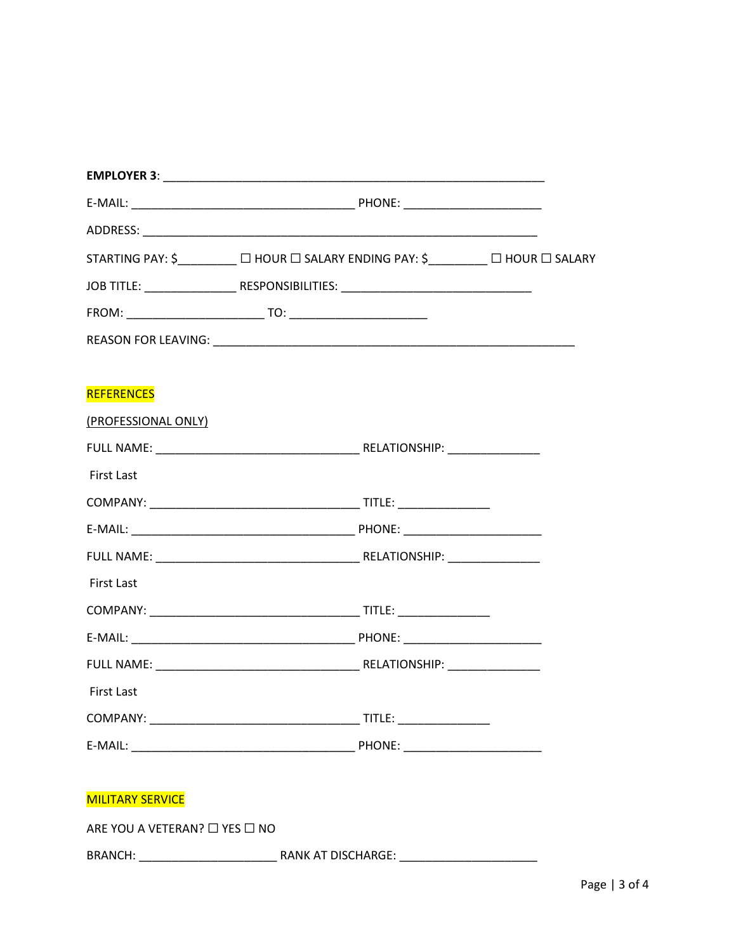|                               | STARTING PAY: \$________ □ HOUR □ SALARY ENDING PAY: \$_______ □ HOUR □ SALARY |  |
|-------------------------------|--------------------------------------------------------------------------------|--|
|                               |                                                                                |  |
|                               |                                                                                |  |
|                               |                                                                                |  |
|                               |                                                                                |  |
| <b>REFERENCES</b>             |                                                                                |  |
| (PROFESSIONAL ONLY)           |                                                                                |  |
|                               |                                                                                |  |
| <b>First Last</b>             |                                                                                |  |
|                               |                                                                                |  |
|                               |                                                                                |  |
|                               |                                                                                |  |
| <b>First Last</b>             |                                                                                |  |
|                               |                                                                                |  |
|                               |                                                                                |  |
|                               |                                                                                |  |
| <b>First Last</b>             |                                                                                |  |
|                               |                                                                                |  |
|                               |                                                                                |  |
|                               |                                                                                |  |
| <b>MILITARY SERVICE</b>       |                                                                                |  |
| ARE YOU A VETERAN? □ YES □ NO |                                                                                |  |
|                               |                                                                                |  |